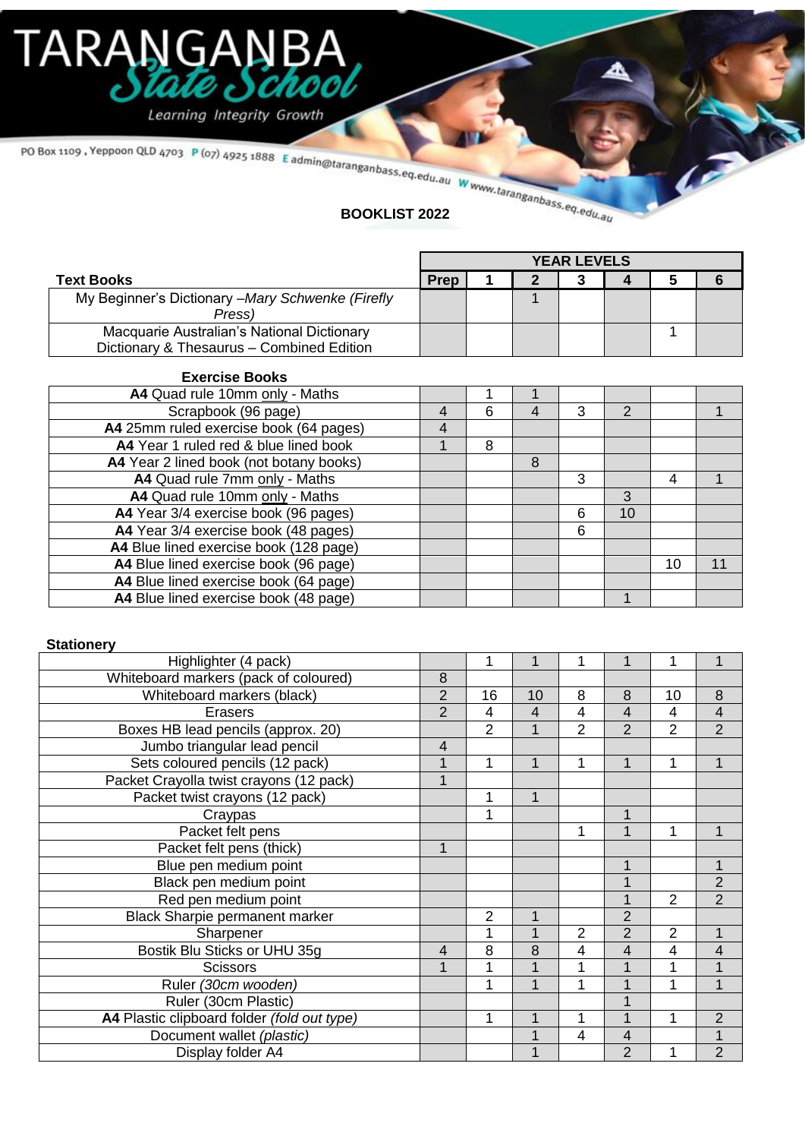# TARANGAN **BA** Sta CNO

Learning Integrity Growth

PO Box 1109, Yeppoon QLD 4703 P (07) 4925 1888 E admin@taranganbass.eq.edu.au Www.taranganbass.eq.edu.au

|                                                  | <b>YEAR LEVELS</b> |  |  |  |  |  |  |  |
|--------------------------------------------------|--------------------|--|--|--|--|--|--|--|
| <b>Text Books</b>                                | <b>Prep</b>        |  |  |  |  |  |  |  |
| My Beginner's Dictionary -Mary Schwenke (Firefly |                    |  |  |  |  |  |  |  |
| Press)                                           |                    |  |  |  |  |  |  |  |
| Macquarie Australian's National Dictionary       |                    |  |  |  |  |  |  |  |
| Dictionary & Thesaurus - Combined Edition        |                    |  |  |  |  |  |  |  |

| <b>Exercise Books</b>                   |   |   |   |   |    |    |    |
|-----------------------------------------|---|---|---|---|----|----|----|
| A4 Quad rule 10mm only - Maths          |   |   |   |   |    |    |    |
| Scrapbook (96 page)                     | 4 | 6 | 4 | 3 | 2  |    |    |
| A4 25mm ruled exercise book (64 pages)  | 4 |   |   |   |    |    |    |
| A4 Year 1 ruled red & blue lined book   | 1 | 8 |   |   |    |    |    |
| A4 Year 2 lined book (not botany books) |   |   | 8 |   |    |    |    |
| A4 Quad rule 7mm only - Maths           |   |   |   | 3 |    | 4  |    |
| A4 Quad rule 10mm only - Maths          |   |   |   |   | 3  |    |    |
| A4 Year 3/4 exercise book (96 pages)    |   |   |   | 6 | 10 |    |    |
| A4 Year 3/4 exercise book (48 pages)    |   |   |   | 6 |    |    |    |
| A4 Blue lined exercise book (128 page)  |   |   |   |   |    |    |    |
| A4 Blue lined exercise book (96 page)   |   |   |   |   |    | 10 | 11 |
| A4 Blue lined exercise book (64 page)   |   |   |   |   |    |    |    |
| A4 Blue lined exercise book (48 page)   |   |   |   |   |    |    |    |

#### **Stationery**

| Highlighter (4 pack)                        |                | 1              |    |                |                |                |                |
|---------------------------------------------|----------------|----------------|----|----------------|----------------|----------------|----------------|
| Whiteboard markers (pack of coloured)       | 8              |                |    |                |                |                |                |
| Whiteboard markers (black)                  | $\overline{2}$ | 16             | 10 | 8              | 8              | 10             | 8              |
| <b>Erasers</b>                              | $\overline{2}$ | 4              | 4  | 4              | $\overline{4}$ | 4              | 4              |
| Boxes HB lead pencils (approx. 20)          |                | $\overline{2}$ | 1  | $\overline{2}$ | $\overline{2}$ | $\overline{2}$ | $\overline{2}$ |
| Jumbo triangular lead pencil                | 4              |                |    |                |                |                |                |
| Sets coloured pencils (12 pack)             |                | 1              | 1  | 1              | 1              | 1              |                |
| Packet Crayolla twist crayons (12 pack)     | 1              |                |    |                |                |                |                |
| Packet twist crayons (12 pack)              |                | 1              | 1  |                |                |                |                |
| Craypas                                     |                | 1              |    |                | 1              |                |                |
| Packet felt pens                            |                |                |    |                | 1              | 1              | 1              |
| Packet felt pens (thick)                    | 1              |                |    |                |                |                |                |
| Blue pen medium point                       |                |                |    |                | 1              |                | 1              |
| Black pen medium point                      |                |                |    |                | 1              |                | $\overline{2}$ |
| Red pen medium point                        |                |                |    |                | 1              | $\overline{2}$ | $\overline{2}$ |
| Black Sharpie permanent marker              |                | $\overline{2}$ | 1  |                | $\overline{2}$ |                |                |
| Sharpener                                   |                |                | 1  | 2              | $\overline{2}$ | 2              | 1              |
| Bostik Blu Sticks or UHU 35g                | $\overline{4}$ | 8              | 8  | 4              | 4              | 4              | 4              |
| <b>Scissors</b>                             |                |                |    |                |                |                |                |
| Ruler (30cm wooden)                         |                |                | 1  |                | 1              |                | 1              |
| Ruler (30cm Plastic)                        |                |                |    |                |                |                |                |
| A4 Plastic clipboard folder (fold out type) |                | 1              | 1  |                | 1              | 1              | 2              |
| Document wallet (plastic)                   |                |                | 1  | 4              | 4              |                | 1              |
| Display folder A4                           |                |                | 1  |                | $\mathfrak{D}$ |                | $\overline{2}$ |
|                                             |                |                |    |                |                |                |                |